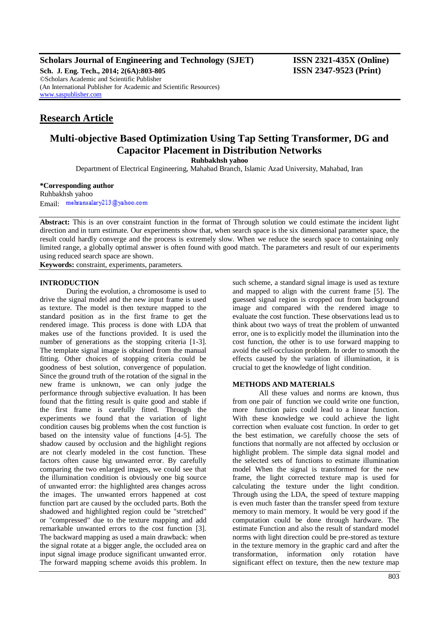**Scholars Journal of Engineering and Technology (SJET) ISSN 2321-435X (Online)**

**Sch. J. Eng. Tech., 2014; 2(6A):803-805 ISSN 2347-9523 (Print)** ©Scholars Academic and Scientific Publisher (An International Publisher for Academic and Scientific Resources) [www.saspublisher.com](http://www.saspublisher.com/)

## **Research Article**

# **Multi-objective Based Optimization Using Tap Setting Transformer, DG and Capacitor Placement in Distribution Networks**

**Ruhbakhsh yahoo**

Department of Electrical Engineering, Mahabad Branch, Islamic Azad University, Mahabad, Iran

## **\*Corresponding author**

Ruhbakhsh yahoo Email: mehransalary213@yahoo.com

**Abstract:** This is an over constraint function in the format of Through solution we could estimate the incident light direction and in turn estimate. Our experiments show that, when search space is the six dimensional parameter space, the result could hardly converge and the process is extremely slow. When we reduce the search space to containing only limited range, a globally optimal answer is often found with good match. The parameters and result of our experiments using reduced search space are shown.

**Keywords:** constraint, experiments, parameters.

### **INTRODUCTION**

During the evolution, a chromosome is used to drive the signal model and the new input frame is used as texture. The model is then texture mapped to the standard position as in the first frame to get the rendered image. This process is done with LDA that makes use of the functions provided. It is used the number of generations as the stopping criteria [1-3]. The template signal image is obtained from the manual fitting. Other choices of stopping criteria could be goodness of best solution, convergence of population. Since the ground truth of the rotation of the signal in the new frame is unknown, we can only judge the performance through subjective evaluation. It has been found that the fitting result is quite good and stable if the first frame is carefully fitted. Through the experiments we found that the variation of light condition causes big problems when the cost function is based on the intensity value of functions [4-5]. The shadow caused by occlusion and the highlight regions are not clearly modeled in the cost function. These factors often cause big unwanted error. By carefully comparing the two enlarged images, we could see that the illumination condition is obviously one big source of unwanted error: the highlighted area changes across the images. The unwanted errors happened at cost function part are caused by the occluded parts. Both the shadowed and highlighted region could be "stretched" or "compressed" due to the texture mapping and add remarkable unwanted errors to the cost function [3]. The backward mapping as used a main drawback: when the signal rotate at a bigger angle, the occluded area on input signal image produce significant unwanted error. The forward mapping scheme avoids this problem. In

such scheme, a standard signal image is used as texture and mapped to align with the current frame [5]. The guessed signal region is cropped out from background image and compared with the rendered image to evaluate the cost function. These observations lead us to think about two ways of treat the problem of unwanted error, one is to explicitly model the illumination into the cost function, the other is to use forward mapping to avoid the self-occlusion problem. In order to smooth the effects caused by the variation of illumination, it is crucial to get the knowledge of light condition.

## **METHODS AND MATERIALS**

All these values and norms are known, thus from one pair of function we could write one function, more function pairs could lead to a linear function. With these knowledge we could achieve the light correction when evaluate cost function. In order to get the best estimation, we carefully choose the sets of functions that normally are not affected by occlusion or highlight problem. The simple data signal model and the selected sets of functions to estimate illumination model When the signal is transformed for the new frame, the light corrected texture map is used for calculating the texture under the light condition. Through using the LDA, the speed of texture mapping is even much faster than the transfer speed from texture memory to main memory. It would be very good if the computation could be done through hardware. The estimate Function and also the result of standard model norms with light direction could be pre-stored as texture in the texture memory in the graphic card and after the transformation, information only rotation have significant effect on texture, then the new texture map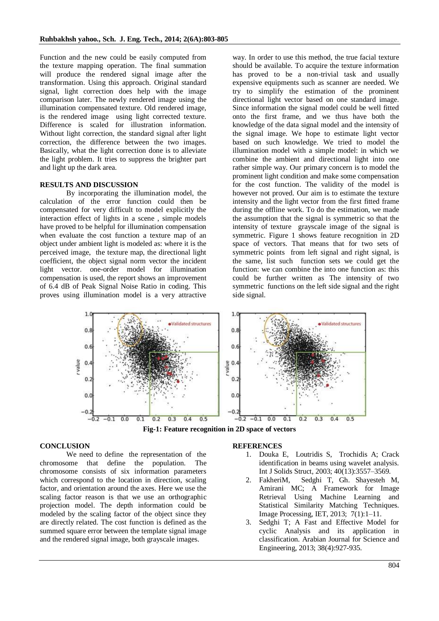Function and the new could be easily computed from the texture mapping operation. The final summation will produce the rendered signal image after the transformation. Using this approach. Original standard signal, light correction does help with the image comparison later. The newly rendered image using the illumination compensated texture. Old rendered image, is the rendered image using light corrected texture. Difference is scaled for illustration information. Without light correction, the standard signal after light correction, the difference between the two images. Basically, what the light correction done is to alleviate the light problem. It tries to suppress the brighter part and light up the dark area.

## **RESULTS AND DISCUSSION**

By incorporating the illumination model, the calculation of the error function could then be compensated for very difficult to model explicitly the interaction effect of lights in a scene , simple models have proved to be helpful for illumination compensation when evaluate the cost function a texture map of an object under ambient light is modeled as: where it is the perceived image, the texture map, the directional light coefficient, the object signal norm vector the incident light vector. one-order model for illumination compensation is used, the report shows an improvement of 6.4 dB of Peak Signal Noise Ratio in coding. This proves using illumination model is a very attractive

way. In order to use this method, the true facial texture should be available. To acquire the texture information has proved to be a non-trivial task and usually expensive equipments such as scanner are needed. We try to simplify the estimation of the prominent directional light vector based on one standard image. Since information the signal model could be well fitted onto the first frame, and we thus have both the knowledge of the data signal model and the intensity of the signal image. We hope to estimate light vector based on such knowledge. We tried to model the illumination model with a simple model: in which we combine the ambient and directional light into one rather simple way. Our primary concern is to model the prominent light condition and make some compensation for the cost function. The validity of the model is however not proved. Our aim is to estimate the texture intensity and the light vector from the first fitted frame during the offline work. To do the estimation, we made the assumption that the signal is symmetric so that the intensity of texture grayscale image of the signal is symmetric. Figure 1 shows feature recognition in 2D space of vectors. That means that for two sets of symmetric points from left signal and right signal, is the same, list such function sets we could get the function: we can combine the into one function as: this could be further written as The intensity of two symmetric functions on the left side signal and the right side signal.



**Fig-1: Feature recognition in 2D space of vectors**

### **CONCLUSION**

We need to define the representation of the chromosome that define the population. The chromosome consists of six information parameters which correspond to the location in direction, scaling factor, and orientation around the axes. Here we use the scaling factor reason is that we use an orthographic projection model. The depth information could be modeled by the scaling factor of the object since they are directly related. The cost function is defined as the summed square error between the template signal image and the rendered signal image, both grayscale images.

#### **REFERENCES**

- 1. Douka E, Loutridis S, Trochidis A; Crack identification in beams using wavelet analysis. Int J Solids Struct, 2003; 40(13):3557–3569.
- 2. FakheriM, Sedghi T, Gh. Shayesteh M, Amirani MC; A Framework for Image Retrieval Using Machine Learning and Statistical Similarity Matching Techniques. Image Processing, IET, 2013; 7(1):1–11.
- 3. Sedghi T; A Fast and Effective Model for cyclic Analysis and its application in classification. Arabian Journal for Science and Engineering, 2013; 38(4):927-935.